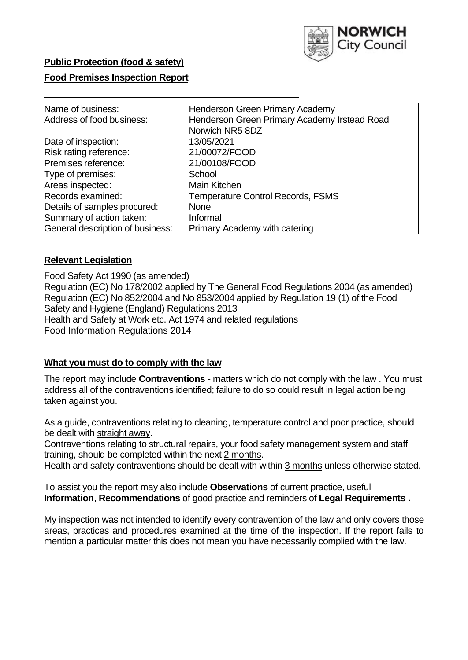

# **Public Protection (food & safety)**

## **Food Premises Inspection Report**

| Name of business:<br>Henderson Green Primary Academy<br>Henderson Green Primary Academy Irstead Road<br>Address of food business:<br>Norwich NR5 8DZ<br>13/05/2021<br>Date of inspection:<br>Risk rating reference:<br>21/00072/FOOD<br>Premises reference:<br>21/00108/FOOD<br>Type of premises:<br>School<br>Areas inspected:<br>Main Kitchen<br>Records examined:<br><b>Temperature Control Records, FSMS</b> |                              |             |
|------------------------------------------------------------------------------------------------------------------------------------------------------------------------------------------------------------------------------------------------------------------------------------------------------------------------------------------------------------------------------------------------------------------|------------------------------|-------------|
|                                                                                                                                                                                                                                                                                                                                                                                                                  |                              |             |
|                                                                                                                                                                                                                                                                                                                                                                                                                  |                              |             |
|                                                                                                                                                                                                                                                                                                                                                                                                                  |                              |             |
|                                                                                                                                                                                                                                                                                                                                                                                                                  |                              |             |
|                                                                                                                                                                                                                                                                                                                                                                                                                  |                              |             |
|                                                                                                                                                                                                                                                                                                                                                                                                                  |                              |             |
|                                                                                                                                                                                                                                                                                                                                                                                                                  |                              |             |
|                                                                                                                                                                                                                                                                                                                                                                                                                  |                              |             |
|                                                                                                                                                                                                                                                                                                                                                                                                                  |                              |             |
|                                                                                                                                                                                                                                                                                                                                                                                                                  | Details of samples procured: | <b>None</b> |
| Summary of action taken:<br>Informal                                                                                                                                                                                                                                                                                                                                                                             |                              |             |
| General description of business:<br>Primary Academy with catering                                                                                                                                                                                                                                                                                                                                                |                              |             |

### **Relevant Legislation**

 Food Safety Act 1990 (as amended) Regulation (EC) No 178/2002 applied by The General Food Regulations 2004 (as amended) Regulation (EC) No 852/2004 and No 853/2004 applied by Regulation 19 (1) of the Food Safety and Hygiene (England) Regulations 2013 Health and Safety at Work etc. Act 1974 and related regulations Food Information Regulations 2014

### **What you must do to comply with the law**

 The report may include **Contraventions** - matters which do not comply with the law . You must address all of the contraventions identified; failure to do so could result in legal action being taken against you.

 As a guide, contraventions relating to cleaning, temperature control and poor practice, should be dealt with straight away.

 Contraventions relating to structural repairs, your food safety management system and staff training, should be completed within the next 2 months.

Health and safety contraventions should be dealt with within 3 months unless otherwise stated.

 To assist you the report may also include **Observations** of current practice, useful **Information**, **Recommendations** of good practice and reminders of **Legal Requirements .** 

 My inspection was not intended to identify every contravention of the law and only covers those areas, practices and procedures examined at the time of the inspection. If the report fails to mention a particular matter this does not mean you have necessarily complied with the law.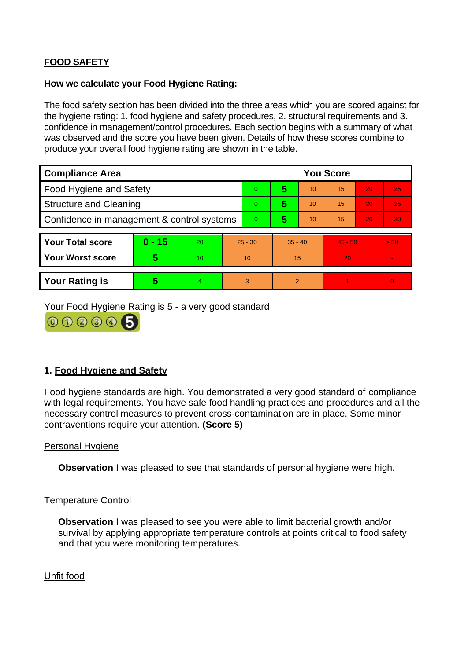# **FOOD SAFETY**

### **How we calculate your Food Hygiene Rating:**

 The food safety section has been divided into the three areas which you are scored against for the hygiene rating: 1. food hygiene and safety procedures, 2. structural requirements and 3. confidence in management/control procedures. Each section begins with a summary of what was observed and the score you have been given. Details of how these scores combine to produce your overall food hygiene rating are shown in the table.

| <b>Compliance Area</b>                     |          |           |                | <b>You Score</b> |                |    |           |    |          |  |  |
|--------------------------------------------|----------|-----------|----------------|------------------|----------------|----|-----------|----|----------|--|--|
| <b>Food Hygiene and Safety</b>             |          |           |                | $\Omega$         | 5              | 10 | 15        | 20 | 25       |  |  |
| <b>Structure and Cleaning</b>              |          |           | $\overline{0}$ | 5                | 10             | 15 | 20        | 25 |          |  |  |
| Confidence in management & control systems |          |           | $\Omega$       | 5                | 10             | 15 | 20        | 30 |          |  |  |
|                                            |          |           |                |                  |                |    |           |    |          |  |  |
| <b>Your Total score</b>                    | $0 - 15$ | <b>20</b> | $25 - 30$      |                  | $35 - 40$      |    | $45 - 50$ |    | > 50     |  |  |
| <b>Your Worst score</b>                    | 5        | 10        | 10             |                  | 15             |    | 20        |    |          |  |  |
|                                            |          |           |                |                  |                |    |           |    |          |  |  |
| <b>Your Rating is</b>                      | 5        | 4         | 3              |                  | $\overline{2}$ |    |           |    | $\Omega$ |  |  |

Your Food Hygiene Rating is 5 - a very good standard



# **1. Food Hygiene and Safety**

 with legal requirements. You have safe food handling practices and procedures and all the Food hygiene standards are high. You demonstrated a very good standard of compliance necessary control measures to prevent cross-contamination are in place. Some minor contraventions require your attention. **(Score 5)** 

### Personal Hygiene

**Observation** I was pleased to see that standards of personal hygiene were high.

#### Temperature Control

**Observation** I was pleased to see you were able to limit bacterial growth and/or survival by applying appropriate temperature controls at points critical to food safety and that you were monitoring temperatures.

Unfit food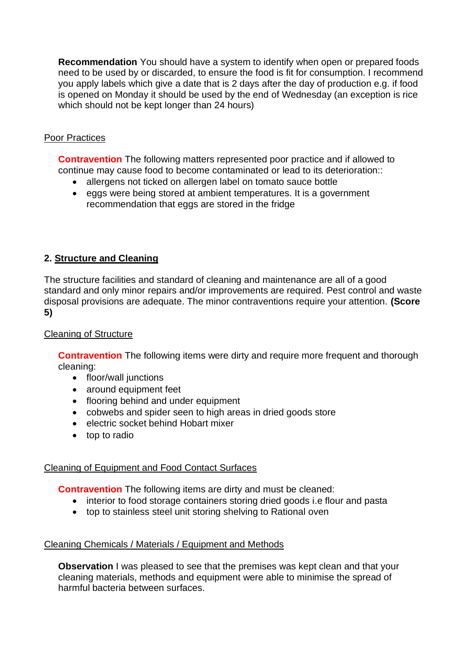**Recommendation** You should have a system to identify when open or prepared foods you apply labels which give a date that is 2 days after the day of production e.g. if food need to be used by or discarded, to ensure the food is fit for consumption. I recommend is opened on Monday it should be used by the end of Wednesday (an exception is rice which should not be kept longer than 24 hours)

# Poor Practices

**Contravention** The following matters represented poor practice and if allowed to continue may cause food to become contaminated or lead to its deterioration::

- allergens not ticked on allergen label on tomato sauce bottle
- • eggs were being stored at ambient temperatures. It is a government recommendation that eggs are stored in the fridge

# **2. Structure and Cleaning**

The structure facilities and standard of cleaning and maintenance are all of a good standard and only minor repairs and/or improvements are required. Pest control and waste disposal provisions are adequate. The minor contraventions require your attention. **(Score 5)** 

## Cleaning of Structure

**Contravention** The following items were dirty and require more frequent and thorough cleaning:

- floor/wall junctions
- around equipment feet
- flooring behind and under equipment
- cobwebs and spider seen to high areas in dried goods store
- electric socket behind Hobart mixer
- top to radio

# Cleaning of Equipment and Food Contact Surfaces

**Contravention** The following items are dirty and must be cleaned:

- interior to food storage containers storing dried goods i.e flour and pasta
- top to stainless steel unit storing shelving to Rational oven

### Cleaning Chemicals / Materials / Equipment and Methods

**Observation I** was pleased to see that the premises was kept clean and that your cleaning materials, methods and equipment were able to minimise the spread of harmful bacteria between surfaces.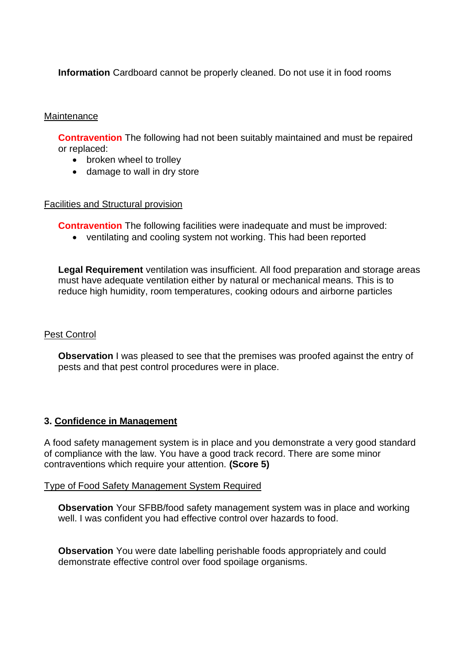**Information** Cardboard cannot be properly cleaned. Do not use it in food rooms

### **Maintenance**

**Contravention** The following had not been suitably maintained and must be repaired or replaced:

- broken wheel to trolley
- damage to wall in dry store

#### Facilities and Structural provision

**Contravention** The following facilities were inadequate and must be improved:

• ventilating and cooling system not working. This had been reported

**Legal Requirement** ventilation was insufficient. All food preparation and storage areas must have adequate ventilation either by natural or mechanical means. This is to reduce high humidity, room temperatures, cooking odours and airborne particles

### Pest Control

**Observation** I was pleased to see that the premises was proofed against the entry of pests and that pest control procedures were in place.

### **3. Confidence in Management**

 of compliance with the law. You have a good track record. There are some minor A food safety management system is in place and you demonstrate a very good standard contraventions which require your attention. **(Score 5)** 

#### Type of Food Safety Management System Required

**Observation** Your SFBB/food safety management system was in place and working well. I was confident you had effective control over hazards to food.

**Observation** You were date labelling perishable foods appropriately and could demonstrate effective control over food spoilage organisms.